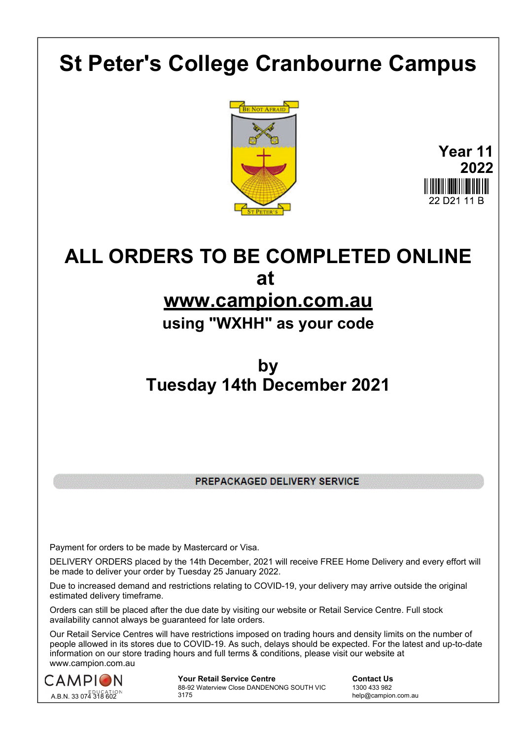## **St Peter's College Cranbourne Campus**





# **ALL ORDERS TO BE COMPLETED ONLINE at**

## **www.campion.com.au**

### **using "WXHH" as your code**

## **by Tuesday 14th December 2021**

PREPACKAGED DELIVERY SERVICE

Payment for orders to be made by Mastercard or Visa.

DELIVERY ORDERS placed by the 14th December, 2021 will receive FREE Home Delivery and every effort will be made to deliver your order by Tuesday 25 January 2022.

Due to increased demand and restrictions relating to COVID-19, your delivery may arrive outside the original estimated delivery timeframe.

Orders can still be placed after the due date by visiting our website or Retail Service Centre. Full stock availability cannot always be guaranteed for late orders.

Our Retail Service Centres will have restrictions imposed on trading hours and density limits on the number of people allowed in its stores due to COVID-19. As such, delays should be expected. For the latest and up-to-date information on our store trading hours and full terms & conditions, please visit our website at www.campion.com.au



**Your Retail Service Centre Contact Us** 88-92 Waterview Close DANDENONG SOUTH VIC 3175

1300 433 982 help@campion.com.au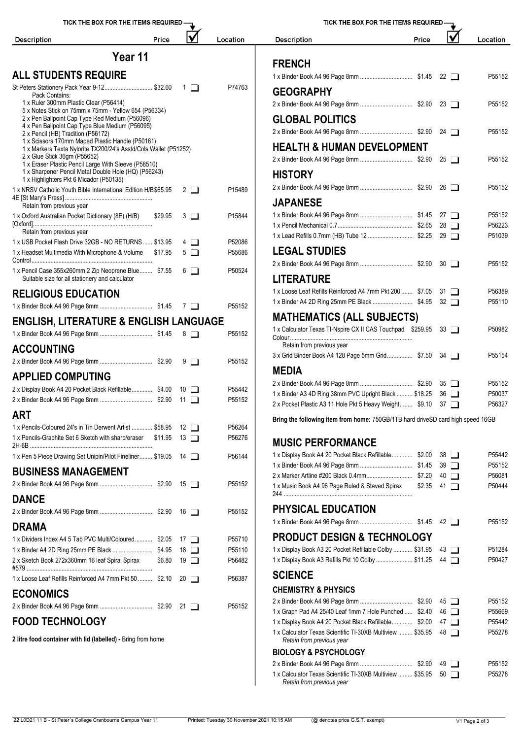| TICK THE BOX FOR THE ITEMS REQUIRED -                                                                                |         |                           | TICK THE BOX FOR THE ITEMS REQUIRED - |                                                                                 |                   |  |             |          |
|----------------------------------------------------------------------------------------------------------------------|---------|---------------------------|---------------------------------------|---------------------------------------------------------------------------------|-------------------|--|-------------|----------|
| <b>Description</b>                                                                                                   | Price   | $\boldsymbol{\mathsf{V}}$ | Location                              | <b>Description</b>                                                              | Price             |  |             | Location |
|                                                                                                                      | Year 11 |                           |                                       |                                                                                 |                   |  |             |          |
| <b>ALL STUDENTS REQUIRE</b>                                                                                          |         |                           |                                       | <b>FRENCH</b>                                                                   |                   |  |             |          |
| St Peters Stationery Pack Year 9-12 \$32.60                                                                          |         | $\Box$                    | P74763                                |                                                                                 |                   |  |             | P55152   |
| Pack Contains:                                                                                                       |         |                           |                                       | <b>GEOGRAPHY</b>                                                                |                   |  |             |          |
| 1 x Ruler 300mm Plastic Clear (P56414)<br>5 x Notes Stick on 75mm x 75mm - Yellow 654 (P56334)                       |         |                           |                                       |                                                                                 |                   |  |             | P55152   |
| 2 x Pen Ballpoint Cap Type Red Medium (P56096)                                                                       |         |                           |                                       | <b>GLOBAL POLITICS</b>                                                          |                   |  |             |          |
| 4 x Pen Ballpoint Cap Type Blue Medium (P56095)<br>2 x Pencil (HB) Tradition (P56172)                                |         |                           |                                       |                                                                                 |                   |  |             | P55152   |
| 1 x Scissors 170mm Maped Plastic Handle (P50161)<br>1 x Markers Texta Nylorite TX200/24's Asstd/Cols Wallet (P51252) |         |                           |                                       | <b>HEALTH &amp; HUMAN DEVELOPMENT</b>                                           |                   |  |             |          |
| 2 x Glue Stick 36gm (P55652)                                                                                         |         |                           |                                       |                                                                                 |                   |  |             | P55152   |
| 1 x Eraser Plastic Pencil Large With Sleeve (P58510)<br>1 x Sharpener Pencil Metal Double Hole (HQ) (P56243)         |         |                           |                                       |                                                                                 |                   |  |             |          |
| 1 x Highlighters Pkt 6 Micador (P50135)                                                                              |         |                           |                                       | <b>HISTORY</b>                                                                  |                   |  |             |          |
| 1 x NRSV Catholic Youth Bible International Edition H/B\$65.95                                                       |         | $2 \Box$                  | P15489                                |                                                                                 |                   |  |             | P55152   |
| Retain from previous year                                                                                            |         |                           |                                       | <b>JAPANESE</b>                                                                 |                   |  |             |          |
| 1 x Oxford Australian Pocket Dictionary (8E) (H/B)                                                                   | \$29.95 | $3\Box$                   | P15844                                |                                                                                 |                   |  |             | P55152   |
| Retain from previous year                                                                                            |         |                           |                                       |                                                                                 |                   |  |             | P56223   |
| 1 x USB Pocket Flash Drive 32GB - NO RETURNS  \$13.95                                                                |         | $4\Box$                   | P52086                                |                                                                                 |                   |  |             | P51039   |
| 1 x Headset Multimedia With Microphone & Volume \$17.95                                                              |         | $5\Box$                   | P55686                                | <b>LEGAL STUDIES</b>                                                            |                   |  |             |          |
| 1 x Pencil Case 355x260mm 2 Zip Neoprene Blue \$7.55                                                                 |         | $6\Box$                   | P50524                                |                                                                                 |                   |  |             | P55152   |
| Suitable size for all stationery and calculator                                                                      |         |                           |                                       | <b>LITERATURE</b>                                                               |                   |  |             |          |
| <b>RELIGIOUS EDUCATION</b>                                                                                           |         |                           |                                       | 1 x Loose Leaf Refills Reinforced A4 7mm Pkt 200  \$7.05 31                     |                   |  |             | P56389   |
|                                                                                                                      |         |                           | P55152                                |                                                                                 |                   |  |             | P55110   |
| <b>ENGLISH, LITERATURE &amp; ENGLISH LANGUAGE</b>                                                                    |         |                           |                                       | <b>MATHEMATICS (ALL SUBJECTS)</b>                                               |                   |  |             |          |
|                                                                                                                      |         |                           | P55152                                | 1 x Calculator Texas TI-Nspire CX II CAS Touchpad \$259.95 33                   |                   |  |             | P50982   |
|                                                                                                                      |         |                           |                                       | Retain from previous year                                                       |                   |  |             |          |
| <b>ACCOUNTING</b>                                                                                                    |         |                           |                                       | 3 x Grid Binder Book A4 128 Page 5mm Grid \$7.50 34                             |                   |  |             | P55154   |
|                                                                                                                      |         |                           | P55152                                | <b>MEDIA</b>                                                                    |                   |  |             |          |
| <b>APPLIED COMPUTING</b>                                                                                             |         |                           |                                       |                                                                                 |                   |  |             | P55152   |
| 2 x Display Book A4 20 Pocket Black Refillable \$4.00 10                                                             |         |                           | P55442                                | 1 x Binder A3 4D Ring 38mm PVC Upright Black  \$18.25 36                        |                   |  |             | P50037   |
|                                                                                                                      |         |                           | P55152                                | 2 x Pocket Plastic A3 11 Hole Pkt 5 Heavy Weight \$9.10 37                      |                   |  |             | P56327   |
| <b>ART</b>                                                                                                           |         |                           |                                       | Bring the following item from home: 750GB/1TB hard driveSD card high speed 16GB |                   |  |             |          |
| 1 x Pencils-Coloured 24's in Tin Derwent Artist  \$58.95                                                             |         | $12$ $\Box$               | P56264                                |                                                                                 |                   |  |             |          |
| 1 x Pencils-Graphite Set 6 Sketch with sharp/eraser \$11.95                                                          |         | $13$ $\Box$               | P56276                                | <b>MUSIC PERFORMANCE</b>                                                        |                   |  |             |          |
| 1 x Pen 5 Piece Drawing Set Unipin/Pilot Fineliner \$19.05 14                                                        |         |                           | P56144                                | 1 x Display Book A4 20 Pocket Black Refillable \$2.00 38                        |                   |  |             | P55442   |
|                                                                                                                      |         |                           |                                       |                                                                                 |                   |  |             | P55152   |
| <b>BUSINESS MANAGEMENT</b>                                                                                           |         |                           | P55152                                |                                                                                 |                   |  | $40$ $\Box$ | P56081   |
|                                                                                                                      |         |                           |                                       | 1 x Music Book A4 96 Page Ruled & Staved Spirax                                 | $$2.35$ 41 $\Box$ |  |             | P50444   |
| <b>DANCE</b>                                                                                                         |         |                           |                                       |                                                                                 |                   |  |             |          |
|                                                                                                                      |         |                           | P55152                                | <b>PHYSICAL EDUCATION</b>                                                       |                   |  |             |          |
| <b>DRAMA</b>                                                                                                         |         |                           |                                       |                                                                                 |                   |  |             | P55152   |
| 1 x Dividers Index A4 5 Tab PVC Multi/Coloured \$2.05 17                                                             |         |                           | P55710                                | <b>PRODUCT DESIGN &amp; TECHNOLOGY</b>                                          |                   |  |             |          |
| 1 x Binder A4 2D Ring 25mm PE Black  \$4.95                                                                          |         | 18 □                      | P55110                                | 1 x Display Book A3 20 Pocket Refillable Colby  \$31.95                         |                   |  | 43 □        | P51284   |
| 2 x Sketch Book 272x360mm 16 leaf Spiral Spirax                                                                      | \$6.80  | $19$ $\Box$               | P56482                                | 1 x Display Book A3 Refills Pkt 10 Colby  \$11.25 44                            |                   |  |             | P50427   |
| 1 x Loose Leaf Refills Reinforced A4 7mm Pkt 50  \$2.10                                                              |         | $20 \Box$                 | P56387                                | <b>SCIENCE</b>                                                                  |                   |  |             |          |
| <b>ECONOMICS</b>                                                                                                     |         |                           |                                       | <b>CHEMISTRY &amp; PHYSICS</b>                                                  |                   |  |             |          |
|                                                                                                                      |         |                           | P55152                                |                                                                                 |                   |  |             | P55152   |
|                                                                                                                      |         |                           |                                       | 1 x Graph Pad A4 25/40 Leaf 1mm 7 Hole Punched  \$2.40 46                       |                   |  |             | P55669   |

#### **FOOD TECHNOLOGY**

**2 litre food container with lid (labelled) -** Bring from home

| <b>Description</b>                                         | Price | v                    | Location |
|------------------------------------------------------------|-------|----------------------|----------|
|                                                            |       |                      |          |
| <b>FRENCH</b>                                              |       |                      |          |
|                                                            |       | $22 \Box$            | P55152   |
| <b>GEOGRAPHY</b>                                           |       |                      |          |
|                                                            |       | $23 \Box$            | P55152   |
| <b>GLOBAL POLITICS</b>                                     |       |                      |          |
|                                                            |       | 24 $\Box$            | P55152   |
| <b>HEALTH &amp; HUMAN DEVELOPMENT</b>                      |       |                      |          |
|                                                            |       | $25 \Box$            | P55152   |
| <b>HISTORY</b>                                             |       |                      |          |
|                                                            |       | $26$ $\Box$          | P55152   |
| <b>JAPANESE</b>                                            |       |                      |          |
|                                                            |       | $27 \mid \mid$       | P55152   |
|                                                            |       | $28$ $\Box$          | P56223   |
|                                                            |       | 29 $\Box$            | P51039   |
| <b>LEGAL STUDIES</b>                                       |       |                      |          |
|                                                            |       | $30\Box$             | P55152   |
| <b>LITERATURE</b>                                          |       |                      |          |
| 1 x Loose Leaf Refills Reinforced A4 7mm Pkt 200  \$7.05   |       | 31<br>$\perp$        | P56389   |
|                                                            |       | $32$ $\Box$          | P55110   |
| <b>MATHEMATICS (ALL SUBJECTS)</b>                          |       |                      |          |
| 1 x Calculator Texas TI-Nspire CX II CAS Touchpad \$259.95 |       | $33 \mid \mid$       | P50982   |
| Retain from previous year                                  |       |                      |          |
| 3 x Grid Binder Book A4 128 Page 5mm Grid \$7.50           |       | 34 I I               | P55154   |
| <b>MEDIA</b>                                               |       |                      |          |
|                                                            |       | $35 \Box$            | P55152   |
| 1 x Binder A3 4D Ring 38mm PVC Upright Black  \$18.25      |       | 36<br>$\blacksquare$ | P50037   |
| 2 x Pocket Plastic A3 11 Hole Pkt 5 Heavy Weight \$9.10    |       | 37<br>$\Box$         | P56327   |

| 1 x Display Book A4 20 Pocket Black Refillable \$2.00                                   |        |             | $38$ $\Box$    | P55442 |
|-----------------------------------------------------------------------------------------|--------|-------------|----------------|--------|
|                                                                                         |        |             | $39$ $\Box$    | P55152 |
|                                                                                         |        |             | $40\Box$       | P56081 |
| 1 x Music Book A4 96 Page Ruled & Staved Spirax                                         | \$2.35 | 41          | $\Box$         | P50444 |
| PHYSICAL EDUCATION                                                                      |        |             |                |        |
|                                                                                         |        |             |                | P55152 |
| <b>PRODUCT DESIGN &amp; TECHNOLOGY</b>                                                  |        |             |                |        |
| 1 x Display Book A3 20 Pocket Refillable Colby  \$31.95                                 |        |             | $43$ $\Box$    | P51284 |
| 1 x Display Book A3 Refills Pkt 10 Colby \$11.25                                        |        |             | 44 $\Box$      | P50427 |
| <b>SCIENCE</b>                                                                          |        |             |                |        |
| <b>CHEMISTRY &amp; PHYSICS</b>                                                          |        |             |                |        |
|                                                                                         |        |             | $45\Box$       | P55152 |
| 1 x Graph Pad A4 25/40 Leaf 1mm 7 Hole Punched  \$2.40                                  |        |             | $46$ $\Box$    | P55669 |
| 1 x Display Book A4 20 Pocket Black Refillable \$2.00                                   |        |             | $47 \Box$      | P55442 |
| 1 x Calculator Texas Scientific TI-30XB Multiview  \$35.95<br>Retain from previous year |        | $48$ $\Box$ |                | P55278 |
| <b>BIOLOGY &amp; PSYCHOLOGY</b>                                                         |        |             |                |        |
|                                                                                         |        |             | 49 1           | P55152 |
| 1 x Calculator Texas Scientific TI-30XB Multiview  \$35.95<br>Retain from previous year |        | 50          | $\blacksquare$ | P55278 |